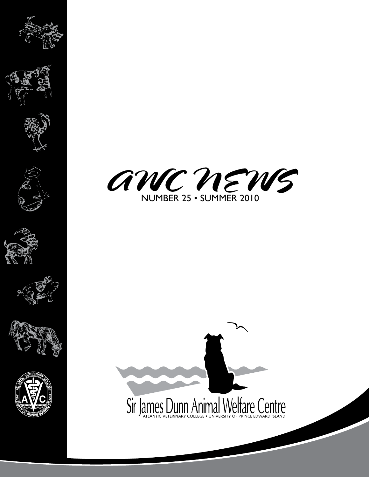















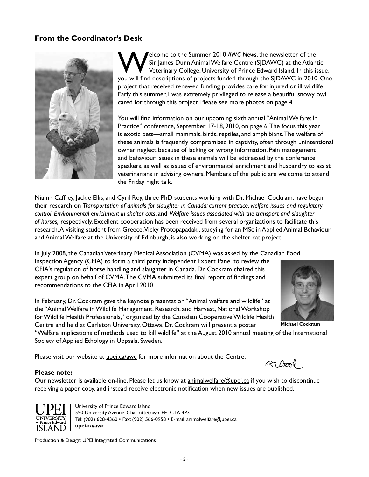# **From the Coordinator's Desk**



**Welcome to the Summer 2010** *AWC News*, the newsletter of the<br>Sir James Dunn Animal Welfare Centre (SJDAWC) at the Atlant<br>Veterinary College, University of Prince Edward Island. In this is Sir James Dunn Animal Welfare Centre (SJDAWC) at the Atlantic Veterinary College, University of Prince Edward Island. In this issue, you will find descriptions of projects funded through the SJDAWC in 2010. One project that received renewed funding provides care for injured or ill wildlife. Early this summer, I was extremely privileged to release a beautiful snowy owl cared for through this project. Please see more photos on page 4.

You will find information on our upcoming sixth annual "Animal Welfare: In Practice" conference, September 17-18, 2010, on page 6. The focus this year is exotic pets—small mammals, birds, reptiles, and amphibians. The welfare of these animals is frequently compromised in captivity, often through unintentional owner neglect because of lacking or wrong information. Pain management and behaviour issues in these animals will be addressed by the conference speakers, as well as issues of environmental enrichment and husbandry to assist veterinarians in advising owners. Members of the public are welcome to attend the Friday night talk.

Niamh Caffrey, Jackie Ellis, and Cyril Roy, three PhD students working with Dr. Michael Cockram, have begun their research on *Transportation of animals for slaughter in Canada: current practice, welfare issues and regulatory control*, *Environmental enrichment in shelter cats*, and *Welfare issues associated with the transport and slaughter of horses,* respectively. Excellent cooperation has been received from several organizations to facilitate this research. A visiting student from Greece, Vicky Protopapadaki, studying for an MSc in Applied Animal Behaviour and Animal Welfare at the University of Edinburgh, is also working on the shelter cat project.

In July 2008, the Canadian Veterinary Medical Association (CVMA) was asked by the Canadian Food Inspection Agency (CFIA) to form a third party independent Expert Panel to review the CFIA's regulation of horse handling and slaughter in Canada. Dr. Cockram chaired this expert group on behalf of CVMA. The CVMA submitted its final report of findings and recommendations to the CFIA in April 2010.

In February, Dr. Cockram gave the keynote presentation "Animal welfare and wildlife" at the "Animal Welfare in Wildlife Management, Research, and Harvest, National Workshop for Wildlife Health Professionals," organized by the Canadian Cooperative Wildlife Health Centre and held at Carleton University, Ottawa. Dr. Cockram will present a poster

"Welfare implications of methods used to kill wildlife" at the August 2010 annual meeting of the International Society of Applied Ethology in Uppsala, Sweden.

Please visit our website at upei.ca/awc for more information about the Centre.

#### **Please note:**

Our newsletter is available on-line. Please let us know at animalwelfare@upei.ca if you wish to discontinue receiving a paper copy, and instead receive electronic notification when new issues are published.



University of Prince Edward Island 550 University Avenue, Charlottetown, PE C1A 4P3 Tel: (902) 628-4360 • Fax: (902) 566-0958 • E-mail: animalwelfare@upei.ca **upei.ca/awc**

Production & Design: UPEI Integrated Communications



**Michael Cockram**

An Cook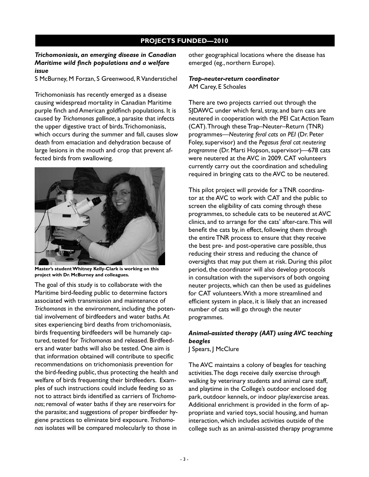### **PROJECTS FUNDED—2010**

### *Trichomoniasis, an emerging disease in Canadian Maritime wild finch populations and a welfare issue*

S McBurney, M Forzan, S Greenwood, R Vanderstichel

Trichomoniasis has recently emerged as a disease causing widespread mortality in Canadian Maritime purple finch and American goldfinch populations. It is caused by *Trichomonas gallinae*, a parasite that infects the upper digestive tract of birds. Trichomoniasis, which occurs during the summer and fall, causes slow death from emaciation and dehydration because of large lesions in the mouth and crop that prevent affected birds from swallowing.



**Master's student Whitney Kelly-Clark is working on this project with Dr. McBurney and colleagues.**

The goal of this study is to collaborate with the Maritime bird-feeding public to determine factors associated with transmission and maintenance of *Trichomonas* in the environment, including the potential involvement of birdfeeders and water baths. At sites experiencing bird deaths from trichomoniasis, birds frequenting birdfeeders will be humanely captured, tested for *Trichomonas* and released. Birdfeeders and water baths will also be tested. One aim is that information obtained will contribute to specific recommendations on trichomoniasis prevention for the bird-feeding public, thus protecting the health and welfare of birds frequenting their birdfeeders. Examples of such instructions could include feeding so as not to attract birds identified as carriers of *Trichomonas*; removal of water baths if they are reservoirs for the parasite; and suggestions of proper birdfeeder hygiene practices to eliminate bird exposure. *Trichomonas* isolates will be compared molecularly to those in

other geographical locations where the disease has emerged (eg., northern Europe).

#### *Trap-neuter-return coordinator* AM Carey, E Schoales

There are two projects carried out through the SJDAWC under which feral, stray, and barn cats are neutered in cooperation with the PEI Cat Action Team (CAT). Through these Trap–Neuter–Return (TNR) programmes—*Neutering feral cats on PEI* (Dr. Peter Foley, supervisor) and the *Pegasus feral cat neutering programme* (Dr. Marti Hopson, supervisor)—678 cats were neutered at the AVC in 2009. CAT volunteers currently carry out the coordination and scheduling required in bringing cats to the AVC to be neutered.

This pilot project will provide for a TNR coordinator at the AVC to work with CAT and the public to screen the eligibility of cats coming through these programmes, to schedule cats to be neutered at AVC clinics, and to arrange for the cats' after-care. This will benefit the cats by, in effect, following them through the entire TNR process to ensure that they receive the best pre- and post-operative care possible, thus reducing their stress and reducing the chance of oversights that may put them at risk. During this pilot period, the coordinator will also develop protocols in consultation with the supervisors of both ongoing neuter projects, which can then be used as guidelines for CAT volunteers. With a more streamlined and efficient system in place, it is likely that an increased number of cats will go through the neuter programmes.

# *Animal-assisted therapy (AAT) using AVC teaching beagles*

J Spears, J McClure

The AVC maintains a colony of beagles for teaching activities. The dogs receive daily exercise through walking by veterinary students and animal care staff, and playtime in the College's outdoor enclosed dog park, outdoor kennels, or indoor play/exercise areas. Additional enrichment is provided in the form of appropriate and varied toys, social housing, and human interaction, which includes activities outside of the college such as an animal-assisted therapy programme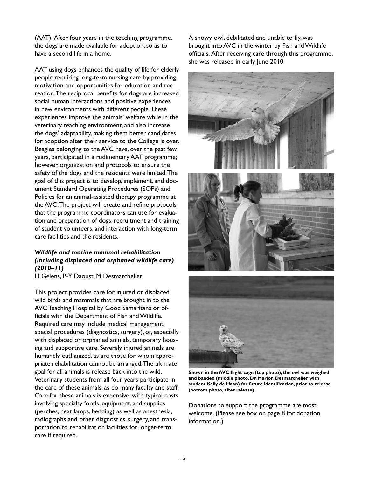(AAT). After four years in the teaching programme, the dogs are made available for adoption, so as to have a second life in a home.

AAT using dogs enhances the quality of life for elderly people requiring long-term nursing care by providing motivation and opportunities for education and recreation. The reciprocal benefits for dogs are increased social human interactions and positive experiences in new environments with different people. These experiences improve the animals' welfare while in the veterinary teaching environment, and also increase the dogs' adaptability, making them better candidates for adoption after their service to the College is over. Beagles belonging to the AVC have, over the past few years, participated in a rudimentary AAT programme; however, organization and protocols to ensure the safety of the dogs and the residents were limited. The goal of this project is to develop, implement, and document Standard Operating Procedures (SOPs) and Policies for an animal-assisted therapy programme at the AVC. The project will create and refine protocols that the programme coordinators can use for evaluation and preparation of dogs, recruitment and training of student volunteers, and interaction with long-term care facilities and the residents.

### *Wildlife and marine mammal rehabilitation (including displaced and orphaned wildlife care) (2010–11)*

H Gelens, P-Y Daoust, M Desmarchelier

This project provides care for injured or displaced wild birds and mammals that are brought in to the AVC Teaching Hospital by Good Samaritans or officials with the Department of Fish and Wildlife. Required care may include medical management, special procedures (diagnostics, surgery), or, especially with displaced or orphaned animals, temporary housing and supportive care. Severely injured animals are humanely euthanized, as are those for whom appropriate rehabilitation cannot be arranged. The ultimate goal for all animals is release back into the wild. Veterinary students from all four years participate in the care of these animals, as do many faculty and staff. Care for these animals is expensive, with typical costs involving specialty foods, equipment, and supplies (perches, heat lamps, bedding) as well as anesthesia, radiographs and other diagnostics, surgery, and transportation to rehabilitation facilities for longer-term care if required.

A snowy owl, debilitated and unable to fly, was brought into AVC in the winter by Fish and Wildlife officials. After receiving care through this programme, she was released in early June 2010.



**Shown in the AVC flight cage (top photo), the owl was weighed and banded (middle photo, Dr. Marion Desmarchelier with student Kelly de Haan) for future identification, prior to release (bottom photo, after release).** 

Donations to support the programme are most welcome. (Please see box on page 8 for donation information.)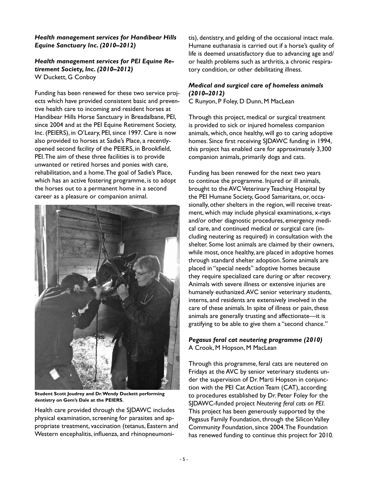### *Health management services for Handibear Hills Equine Sanctuary Inc. (2010–2012)*

#### *Health management services for PEI Equine Retirement Society, Inc. (2010–2012)*  W Duckett, G Conboy

Funding has been renewed for these two service projects which have provided consistent basic and preventive health care to incoming and resident horses at Handibear Hills Horse Sanctuary in Breadalbane, PEI, since 2004 and at the PEI Equine Retirement Society, Inc. (PEIERS), in O'Leary, PEI, since 1997. Care is now also provided to horses at Sadie's Place, a recentlyopened second facility of the PEIERS, in Brookfield, PEI. The aim of these three facilities is to provide unwanted or retired horses and ponies with care, rehabilitation, and a home. The goal of Sadie's Place, which has an active fostering programme, is to adopt the horses out to a permanent home in a second career as a pleasure or companion animal.



**Student Scott Joudrey and Dr. Wendy Duckett performing dentistry on Gem's Dale at the PEIERS.**

Health care provided through the SJDAWC includes physical examination, screening for parasites and appropriate treatment, vaccination (tetanus, Eastern and Western encephalitis, influenza, and rhinopneumonitis), dentistry, and gelding of the occasional intact male. Humane euthanasia is carried out if a horse's quality of life is deemed unsatisfactory due to advancing age and/ or health problems such as arthritis, a chronic respiratory condition, or other debilitating illness.

## *Medical and surgical care of homeless animals (2010–2012)*

C Runyon, P Foley, D Dunn, M MacLean

Through this project, medical or surgical treatment is provided to sick or injured homeless companion animals, which, once healthy, will go to caring adoptive homes. Since first receiving SJDAWC funding in 1994, this project has enabled care for approximately 3,300 companion animals, primarily dogs and cats.

Funding has been renewed for the next two years to continue the programme. Injured or ill animals, brought to the AVC Veterinary Teaching Hospital by the PEI Humane Society, Good Samaritans, or, occasionally, other shelters in the region, will receive treatment, which may include physical examinations, x-rays and/or other diagnostic procedures, emergency medical care, and continued medical or surgical care (including neutering as required) in consultation with the shelter. Some lost animals are claimed by their owners, while most, once healthy, are placed in adoptive homes through standard shelter adoption. Some animals are placed in "special needs" adoptive homes because they require specialized care during or after recovery. Animals with severe illness or extensive injuries are humanely euthanized. AVC senior veterinary students, interns, and residents are extensively involved in the care of these animals. In spite of illness or pain, these animals are generally trusting and affectionate—it is gratifying to be able to give them a "second chance."

### *Pegasus feral cat neutering programme (2010)* A Crook, M Hopson, M MacLean

Through this programme, feral cats are neutered on Fridays at the AVC by senior veterinary students under the supervision of Dr. Marti Hopson in conjunction with the PEI Cat Action Team (CAT), according to procedures established by Dr. Peter Foley for the SJDAWC-funded project *Neutering feral cats on PEI*. This project has been generously supported by the Pegasus Family Foundation, through the Silicon Valley Community Foundation, since 2004. The Foundation has renewed funding to continue this project for 2010.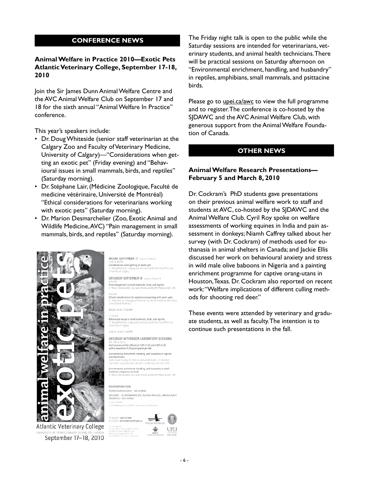### **CONFERENCE NEWS**

### **Animal Welfare in Practice 2010—Exotic Pets Atlantic Veterinary College, September 17-18, 2010**

Join the Sir James Dunn Animal Welfare Centre and the AVC Animal Welfare Club on September 17 and 18 for the sixth annual "Animal Welfare In Practice" conference.

This year's speakers include:

- Dr. Doug Whiteside (senior staff veterinarian at the Calgary Zoo and Faculty of Veterinary Medicine, University of Calgary)—"Considerations when getting an exotic pet" (Friday evening) and "Behavioural issues in small mammals, birds, and reptiles" (Saturday morning).
- Dr. Stéphane Lair, (Médicine Zoologique, Faculté de medicine vétérinaire, Université de Montréal) "Ethical considerations for veterinarians working with exotic pets" (Saturday morning).
- Dr. Marion Desmarchelier (Zoo, Exotic Animal and Wildlife Medicine, AVC) "Pain management in small mammals, birds, and reptiles" (Saturday morning).



Atlantic Veterinary College September 17-18, 2010

FRIDAY SEPTEMBER 17 Lecture Theatre A Considerations when getting an exotic pet in Boug Whiteside, Cal<br>Iniversity of Calgary ..<br>Iv of Veterinary Medicine SATURDAY SEPTEMBER 18 Lecture Theatre A ocro sun<br>Pain management in small mammals, birds, and reptiles<br>Or Marion Desmarchelier, Zoo, Exctic Animal, and Wildlife Medicine, AVC, UPEI Ethical considerations for veterinarians working with exotic pets 3r. Stéphane Lair, Zoologica<br>Université de Montréal BREAK 10:45-11:00 AM MA.00.11 Trusown<br>Behavioural issues in small mammals, birds, and reptiles<br>Or, Doug Whiteside, Calgary Zoo and Faculty of Veterinary M<br>University of Calgary .<br>Madisiras LUNCH 12:00-1:00 PM SATURDAY AFTERNOON LABORATORY SESSIONS evu causa corre<br>Each session will be offered at 1:00–2:30 and 3:00–4:30,<br>with a maximum of 20 participants per lab. Environmental enrichment, handling, and husbandry in reptiles and amphibians and amphibians<br>Ssafe Haven Society for Reptiles and Amphibians; Dr. Shannon<br>Martinson, Diagnostic Services, AVC; Gillian Gouchie, AVC, UPEI Environmental enrichment, handling, and husbandry in small<br>mammals and psittacine birds<br>Or. Maron Desmarchelier, Zoo, Excto Animal, and Wildlife Medicine, AVE, UPEI REGISTRATION COSTS FRIDAY EVENING ONLY - NO CHARGE SATURDAY - VETERINARIANS \$75; TECHNICIANS \$30; LABS \$25 EACH<br>STUDENTS - NO CHARGE To register: upei.ca/awc<br>or contact: animalwelfare@upei.ca Co-hasted by the<br>Sir James Conn Animal Welfare Ce<br>and the AVE Animal Welfare Clob ۰È UPEI ISLAND

The Friday night talk is open to the public while the Saturday sessions are intended for veterinarians, veterinary students, and animal health technicians. There will be practical sessions on Saturday afternoon on "Environmental enrichment, handling, and husbandry" in reptiles, amphibians, small mammals, and psittacine birds.

Please go to upei.ca/awc to view the full programme and to register. The conference is co-hosted by the SJDAWC and the AVC Animal Welfare Club, with generous support from the Animal Welfare Foundation of Canada.

#### **OTHER NEWS**

### **Animal Welfare Research Presentations— February 5 and March 8, 2010**

Dr. Cockram's PhD students gave presentations on their previous animal welfare work to staff and students at AVC, co-hosted by the SJDAWC and the Animal Welfare Club. Cyril Roy spoke on welfare assessments of working equines in India and pain assessment in donkeys; Niamh Caffrey talked about her survey (with Dr. Cockram) of methods used for euthanasia in animal shelters in Canada; and Jackie Ellis discussed her work on behavioural anxiety and stress in wild male olive baboons in Nigeria and a painting enrichment programme for captive orang-utans in Houston, Texas. Dr. Cockram also reported on recent work: "Welfare implications of different culling methods for shooting red deer."

These events were attended by veterinary and graduate students, as well as faculty. The intention is to continue such presentations in the fall.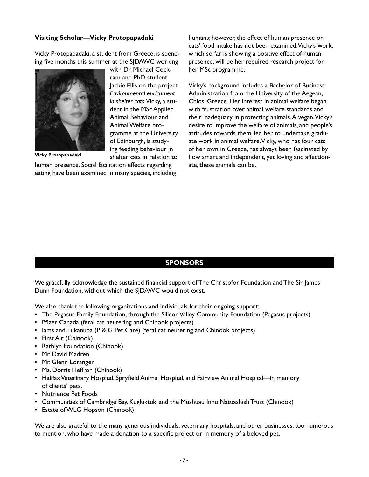### **Visiting Scholar—Vicky Protopapadaki**

Vicky Protopapadaki, a student from Greece, is spending five months this summer at the SJDAWC working



**Vicky Protopapadaki**

with Dr. Michael Cockram and PhD student Jackie Ellis on the project *Environmental enrichment in shelter cats*. Vicky, a student in the MSc Applied Animal Behaviour and Animal Welfare programme at the University of Edinburgh, is studying feeding behaviour in shelter cats in relation to

human presence. Social facilitation effects regarding eating have been examined in many species, including humans; however, the effect of human presence on cats' food intake has not been examined. Vicky's work, which so far is showing a positive effect of human presence, will be her required research project for her MSc programme.

Vicky's background includes a Bachelor of Business Administration from the University of the Aegean, Chios, Greece. Her interest in animal welfare began with frustration over animal welfare standards and their inadequacy in protecting animals. A vegan, Vicky's desire to improve the welfare of animals, and people's attitudes towards them, led her to undertake graduate work in animal welfare. Vicky, who has four cats of her own in Greece, has always been fascinated by how smart and independent, yet loving and affectionate, these animals can be.

## **SPONSORS**

We gratefully acknowledge the sustained financial support of The Christofor Foundation and The Sir James Dunn Foundation, without which the SJDAWC would not exist.

We also thank the following organizations and individuals for their ongoing support:

- The Pegasus Family Foundation, through the Silicon Valley Community Foundation (Pegasus projects)
- Pfizer Canada (feral cat neutering and Chinook projects)
- lams and Eukanuba (P & G Pet Care) (feral cat neutering and Chinook projects)
- First Air (Chinook)
- Rathlyn Foundation (Chinook)
- Mr. David Madren
- Mr. Glenn Loranger
- Ms. Dorris Heffron (Chinook)
- Halifax Veterinary Hospital, Spryfield Animal Hospital, and Fairview Animal Hospital—in memory of clients' pets.
- Nutrience Pet Foods
- Communities of Cambridge Bay, Kugluktuk, and the Mushuau Innu Natuashish Trust (Chinook)
- Estate of WLG Hopson (Chinook)

We are also grateful to the many generous individuals, veterinary hospitals, and other businesses, too numerous to mention, who have made a donation to a specific project or in memory of a beloved pet.